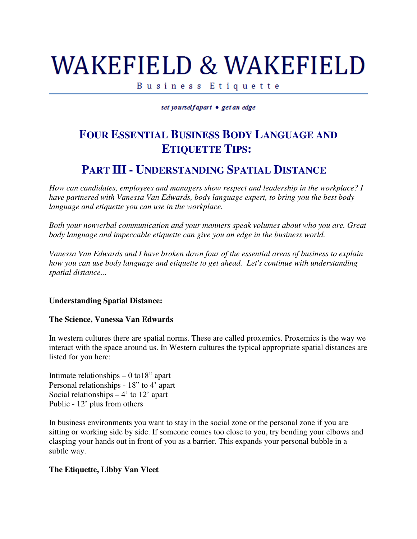# WAKEFIELD & WAKEFIELD

Business Etiquette

set yourselfapart • get an edge

## **FOUR ESSENTIAL BUSINESS BODY LANGUAGE AND ETIQUETTE TIPS:**

### **PART III - UNDERSTANDING SPATIAL DISTANCE**

*How can candidates, employees and managers show respect and leadership in the workplace? I have partnered with Vanessa Van Edwards, body language expert, to bring you the best body language and etiquette you can use in the workplace.*

*Both your nonverbal communication and your manners speak volumes about who you are. Great body language and impeccable etiquette can give you an edge in the business world.* 

*Vanessa Van Edwards and I have broken down four of the essential areas of business to explain how you can use body language and etiquette to get ahead. Let's continue with understanding spatial distance...*

#### **Understanding Spatial Distance:**

#### **The Science, Vanessa Van Edwards**

In western cultures there are spatial norms. These are called proxemics. Proxemics is the way we interact with the space around us. In Western cultures the typical appropriate spatial distances are listed for you here:

Intimate relationships – 0 to18" apart Personal relationships - 18" to 4' apart Social relationships  $-4'$  to 12' apart Public - 12' plus from others

In business environments you want to stay in the social zone or the personal zone if you are sitting or working side by side. If someone comes too close to you, try bending your elbows and clasping your hands out in front of you as a barrier. This expands your personal bubble in a subtle way.

#### **The Etiquette, Libby Van Vleet**